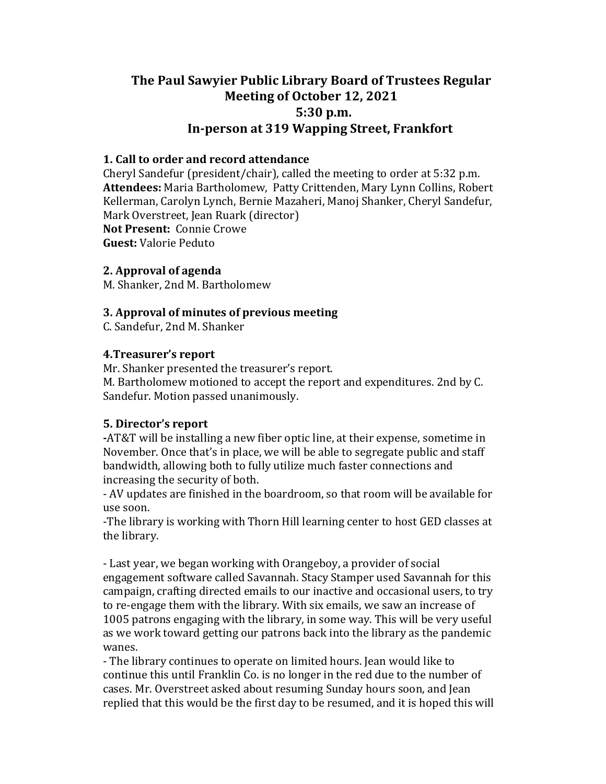# **The Paul Sawyier Public Library Board of Trustees Regular Meeting of October 12, 2021 5:30 p.m.**  In-person at 319 Wapping Street, Frankfort

## **1.** Call to order and record attendance

Cheryl Sandefur (president/chair), called the meeting to order at  $5:32$  p.m. Attendees: Maria Bartholomew, Patty Crittenden, Mary Lynn Collins, Robert Kellerman, Carolyn Lynch, Bernie Mazaheri, Manoj Shanker, Cheryl Sandefur, Mark Overstreet, Jean Ruark (director) **Not Present: Connie Crowe Guest:** Valorie Peduto

#### **2. Approval of agenda**

M. Shanker. 2nd M. Bartholomew

# **3. Approval of minutes of previous meeting**

C. Sandefur, 2nd M. Shanker

## **4. Treasurer's report**

Mr. Shanker presented the treasurer's report. M. Bartholomew motioned to accept the report and expenditures. 2nd by C. Sandefur. Motion passed unanimously.

# **5.** Director's report

**-AT&T** will be installing a new fiber optic line, at their expense, sometime in November. Once that's in place, we will be able to segregate public and staff bandwidth, allowing both to fully utilize much faster connections and increasing the security of both.

- AV updates are finished in the boardroom, so that room will be available for use soon.

-The library is working with Thorn Hill learning center to host GED classes at the library.

- Last year, we began working with Orangeboy, a provider of social engagement software called Savannah. Stacy Stamper used Savannah for this campaign, crafting directed emails to our inactive and occasional users, to try to re-engage them with the library. With six emails, we saw an increase of 1005 patrons engaging with the library, in some way. This will be very useful as we work toward getting our patrons back into the library as the pandemic wanes.

- The library continues to operate on limited hours. Jean would like to continue this until Franklin Co. is no longer in the red due to the number of cases. Mr. Overstreet asked about resuming Sunday hours soon, and Jean replied that this would be the first day to be resumed, and it is hoped this will